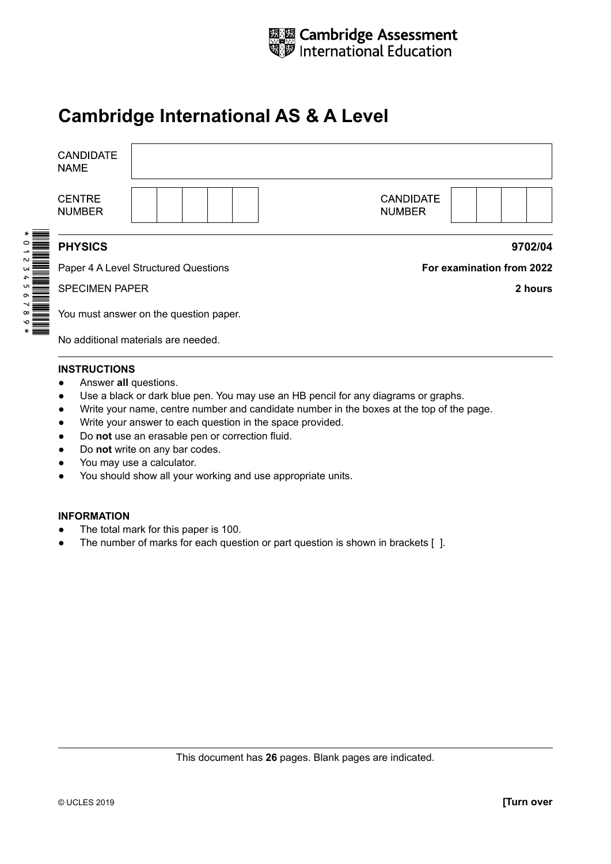

# **Cambridge International AS & A Level**

| <b>CANDIDATE</b><br><b>NAME</b>        |                                      |                                   |                           |
|----------------------------------------|--------------------------------------|-----------------------------------|---------------------------|
| <b>CENTRE</b><br><b>NUMBER</b>         |                                      | <b>CANDIDATE</b><br><b>NUMBER</b> |                           |
| <b>PHYSICS</b>                         |                                      |                                   | 9702/04                   |
|                                        | Paper 4 A Level Structured Questions |                                   | For examination from 2022 |
| <b>SPECIMEN PAPER</b>                  |                                      |                                   | 2 hours                   |
| You must answer on the question paper. |                                      |                                   |                           |
| No additional materials are needed.    |                                      |                                   |                           |

#### **INSTRUCTIONS**

- Answer **all** questions.
- Use a black or dark blue pen. You may use an HB pencil for any diagrams or graphs.
- ● Write your name, centre number and candidate number in the boxes at the top of the page.
- ● Write your answer to each question in the space provided.
- ● Do **not** use an erasable pen or correction fluid.
- ● Do **not** write on any bar codes.
- You may use a calculator.
- You should show all your working and use appropriate units.

#### **INFORMATION**

- The total mark for this paper is 100.
- The number of marks for each question or part question is shown in brackets [ ].

This document has **26** pages. Blank pages are indicated.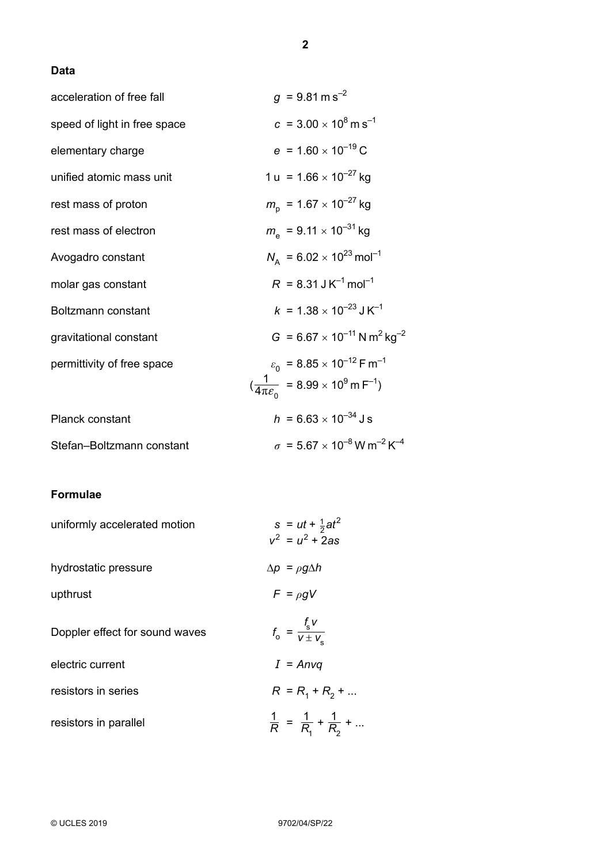### **Data**

| acceleration of free fall    | $g = 9.81 \text{ m s}^{-2}$                                                                                                                  |
|------------------------------|----------------------------------------------------------------------------------------------------------------------------------------------|
| speed of light in free space | $c = 3.00 \times 10^8 \,\mathrm{m\,s}^{-1}$                                                                                                  |
| elementary charge            | $e = 1.60 \times 10^{-19}$ C                                                                                                                 |
| unified atomic mass unit     | 1 u = 1.66 $\times$ 10 <sup>-27</sup> kg                                                                                                     |
| rest mass of proton          | $m_{\rm p}$ = 1.67 × 10 <sup>-27</sup> kg                                                                                                    |
| rest mass of electron        | $m_a$ = 9.11 $\times$ 10 <sup>-31</sup> kg                                                                                                   |
| Avogadro constant            | $N_{\rm A}$ = 6.02 × 10 <sup>23</sup> mol <sup>-1</sup>                                                                                      |
| molar gas constant           | $R = 8.31 \text{ J K}^{-1} \text{ mol}^{-1}$                                                                                                 |
| Boltzmann constant           | $k = 1.38 \times 10^{-23}$ J K <sup>-1</sup>                                                                                                 |
| gravitational constant       | $G = 6.67 \times 10^{-11}$ N m <sup>2</sup> kg <sup>-2</sup>                                                                                 |
| permittivity of free space   | $\varepsilon_0$ = 8.85 × 10 <sup>-12</sup> F m <sup>-1</sup><br>$(\frac{1}{4\pi \varepsilon_0}$ = 8.99 × 10 <sup>9</sup> m F <sup>-1</sup> ) |
| Planck constant              | $h = 6.63 \times 10^{-34}$ J s                                                                                                               |
| Stefan-Boltzmann constant    | $\sigma = 5.67 \times 10^{-8}$ W m <sup>-2</sup> K <sup>-4</sup>                                                                             |

## **Formulae**

| uniformly accelerated motion   | $s = ut + \frac{1}{2}at^2$<br>$v^2 = u^2 + 2as$     |
|--------------------------------|-----------------------------------------------------|
| hydrostatic pressure           | $\Delta p = \rho g \Delta h$                        |
| upthrust                       | $F = \rho g V$                                      |
| Doppler effect for sound waves | $f_o = \frac{f_s V}{V \pm V}$                       |
| electric current               | $I = Anvq$                                          |
| resistors in series            | $R = R_1 + R_2 + $                                  |
| resistors in parallel          | $\frac{1}{R}$ = $\frac{1}{R_1}$ + $\frac{1}{R_2}$ + |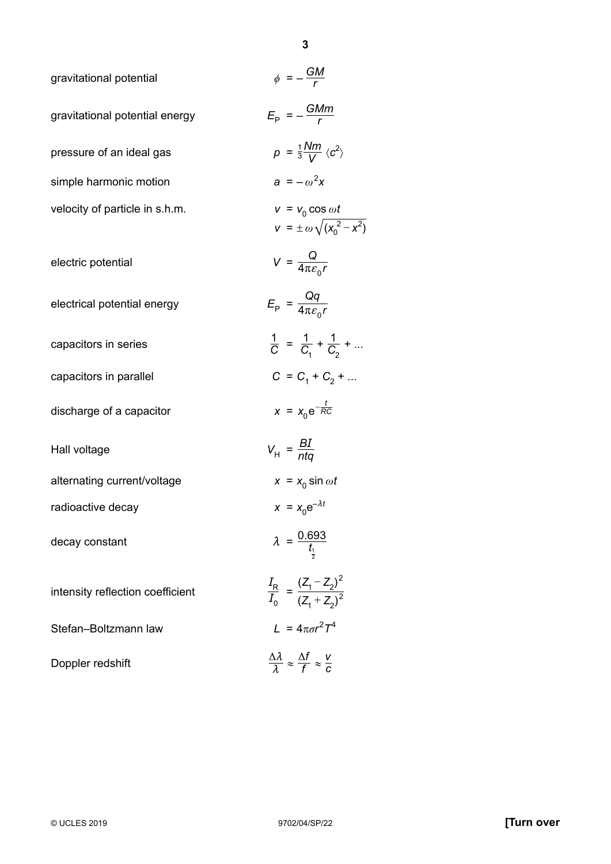| gravitational potential          | $\phi = -\frac{GM}{r}$                                                          |
|----------------------------------|---------------------------------------------------------------------------------|
| gravitational potential energy   | $E_{\rm p} = -\frac{GMm}{r}$                                                    |
| pressure of an ideal gas         | $p = \frac{1}{3} \frac{Nm}{V} \langle c^2 \rangle$                              |
| simple harmonic motion           | $a = -\omega^2 x$                                                               |
| velocity of particle in s.h.m.   | $v = v_0 \cos \omega t$<br>$V = \pm \omega \sqrt{(x_0^2 - x^2)}$                |
| electric potential               | $V = \frac{Q}{4\pi \varepsilon_0 r}$                                            |
| electrical potential energy      | $E_{\rm p} = \frac{Qq}{4\pi \varepsilon_{\rm s} r}$                             |
| capacitors in series             | $\frac{1}{C} = \frac{1}{C_4} + \frac{1}{C_2} + $                                |
| capacitors in parallel           | $C = C_1 + C_2 + $                                                              |
| discharge of a capacitor         | $x = x_0 e^{-\frac{t}{RC}}$                                                     |
| Hall voltage                     | $V_{\text{H}} = \frac{BI}{nta}$                                                 |
| alternating current/voltage      | $x = x_0 \sin \omega t$                                                         |
| radioactive decay                | $x = x_0 e^{-\lambda t}$                                                        |
| decay constant                   | $\lambda = \frac{0.693}{t_{\frac{1}{2}}}$                                       |
| intensity reflection coefficient | $\frac{I_{\rm R}}{I_0} = \frac{(Z_1 - Z_2)^2}{(Z_1 + Z_2)^2}$                   |
| Stefan-Boltzmann law             | $L = 4\pi\sigma r^2 T^4$                                                        |
| Doppler redshift                 | $\frac{\Delta \lambda}{\lambda} \approx \frac{\Delta f}{f} \approx \frac{V}{C}$ |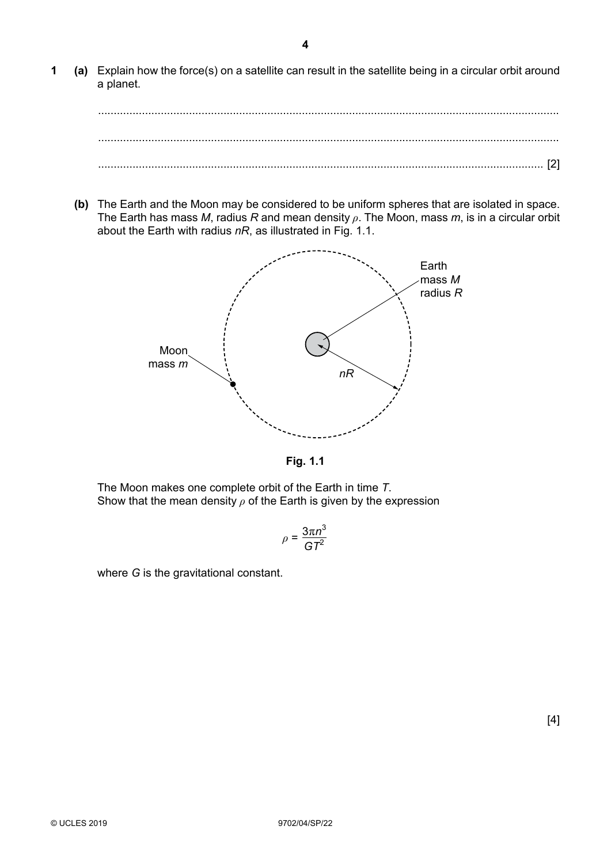**1 (a)** Explain how the force(s) on a satellite can result in the satellite being in a circular orbit around a planet.

................................................................................................................................................... ................................................................................................................................................... .............................................................................................................................................. [2]

**(b)** The Earth and the Moon may be considered to be uniform spheres that are isolated in space. The Earth has mass *M*, radius *R* and mean density *ρ*. The Moon, mass *m*, is in a circular orbit about the Earth with radius *nR*, as illustrated in Fig. 1.1.



**Fig. 1.1**

The Moon makes one complete orbit of the Earth in time *T*. Show that the mean density *ρ* of the Earth is given by the expression

$$
\rho=\frac{3\pi n^3}{GT^2}
$$

where *G* is the gravitational constant.

**4**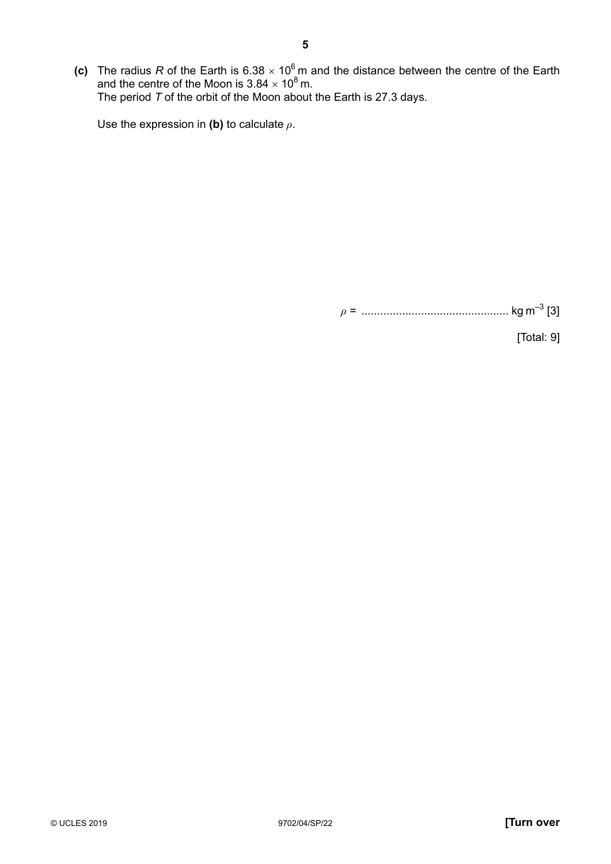(c) The radius R of the Earth is 6.38  $\times$  10<sup>6</sup> m and the distance between the centre of the Earth and the centre of the Moon is  $3.84 \times 10^8$  m. The period *T* of the orbit of the Moon about the Earth is 27.3 days.

Use the expression in **(b)** to calculate *ρ*.

*ρ* = ............................................... kg m–3 [3]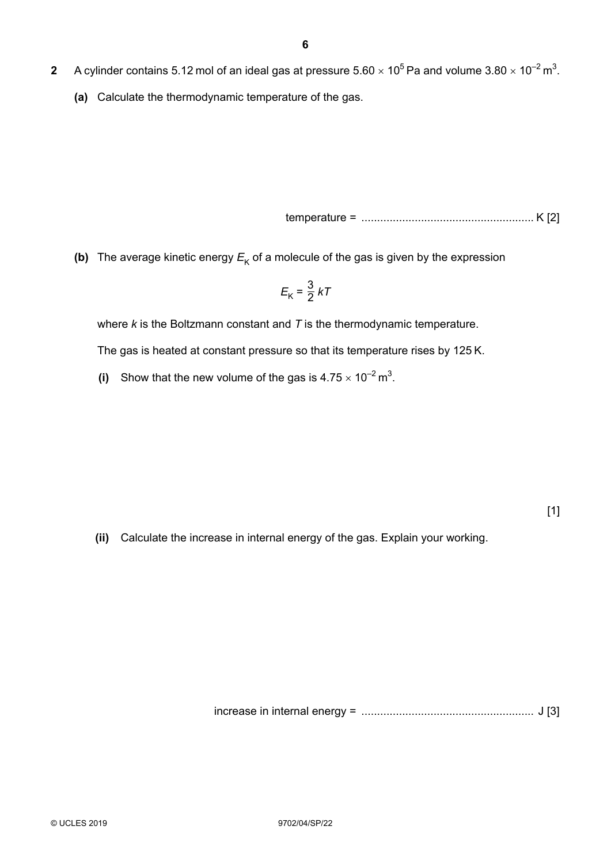- **2** A cylinder contains 5.12 mol of an ideal gas at pressure 5.60  $\times$  10<sup>5</sup> Pa and volume 3.80  $\times$  10<sup>-2</sup> m<sup>3</sup>.
	- **(a)** Calculate the thermodynamic temperature of the gas.

temperature = ....................................................... K [2]

**(b)** The average kinetic energy  $E_K$  of a molecule of the gas is given by the expression

$$
E_{\rm K} = \frac{3}{2} kT
$$

where *k* is the Boltzmann constant and *T* is the thermodynamic temperature.

 The gas is heated at constant pressure so that its temperature rises by 125 K.

**(i)** Show that the new volume of the gas is  $4.75 \times 10^{-2}$  m<sup>3</sup>.

[1]

 **(ii)** Calculate the increase in internal energy of the gas. Explain your working.

increase in internal energy = .......................................................  J [3]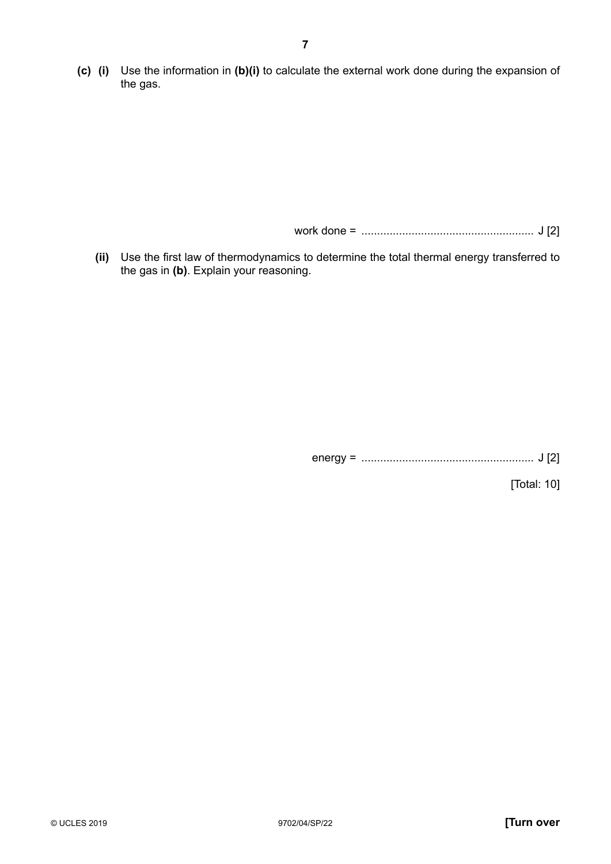**(c) (i)** Use the information in **(b)(i)** to calculate the external work done during the expansion of the gas.

work done = .......................................................  J [2]

**(ii)** Use the first law of thermodynamics to determine the total thermal energy transferred to the gas in **(b)**. Explain your reasoning.

energy = .......................................................  J [2]

[Total: 10]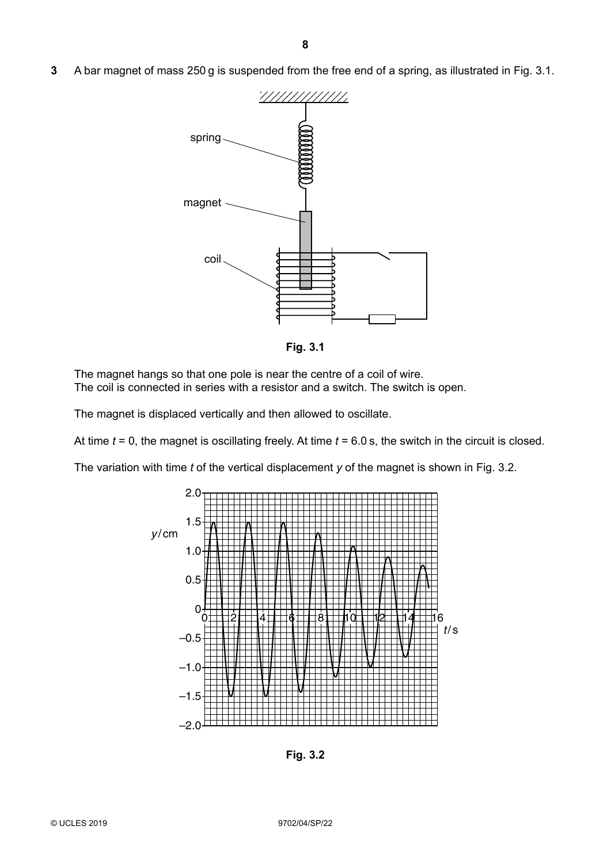**3** A bar magnet of mass 250 g is suspended from the free end of a spring, as illustrated in Fig. 3.1.



**Fig. 3.1**

The magnet hangs so that one pole is near the centre of a coil of wire. The coil is connected in series with a resistor and a switch. The switch is open.

The magnet is displaced vertically and then allowed to oscillate.

At time *t* = 0, the magnet is oscillating freely. At time *t* = 6.0 s, the switch in the circuit is closed.

The variation with time *t* of the vertical displacement *y* of the magnet is shown in Fig. 3.2.



**Fig. 3.2**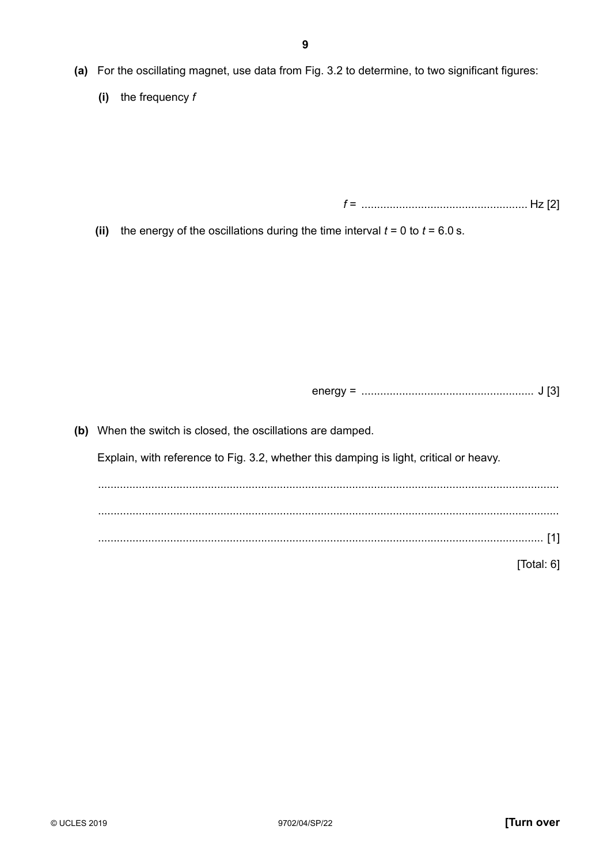- **(a)** For the oscillating magnet, use data from Fig. 3.2 to determine, to two significant figures:
	- **(i)** the frequency *f*

*f* = ..................................................... Hz [2]

**(ii)** the energy of the oscillations during the time interval  $t = 0$  to  $t = 6.0$  s.

energy = .......................................................  J [3]

**(b)** When the switch is closed, the oscillations are damped. Explain, with reference to Fig. 3.2, whether this damping is light, critical or heavy. ................................................................................................................................................... ................................................................................................................................................... .............................................................................................................................................. [1] [Total: 6]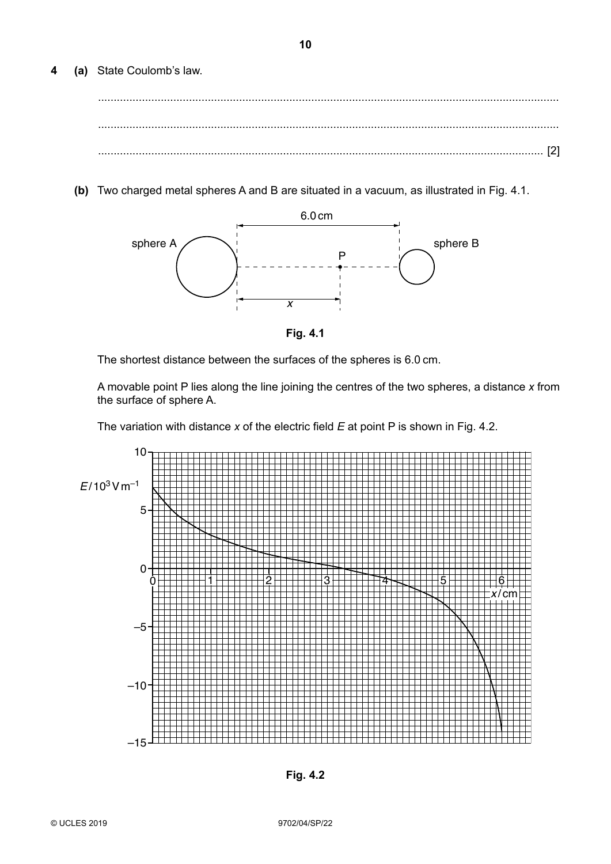(a) State Coulomb's law. 4

(b) Two charged metal spheres A and B are situated in a vacuum, as illustrated in Fig. 4.1.



Fig. 4.1

The shortest distance between the surfaces of the spheres is 6.0 cm.

A movable point P lies along the line joining the centres of the two spheres, a distance x from the surface of sphere A.

The variation with distance  $x$  of the electric field  $E$  at point P is shown in Fig. 4.2.



Fig. 4.2

10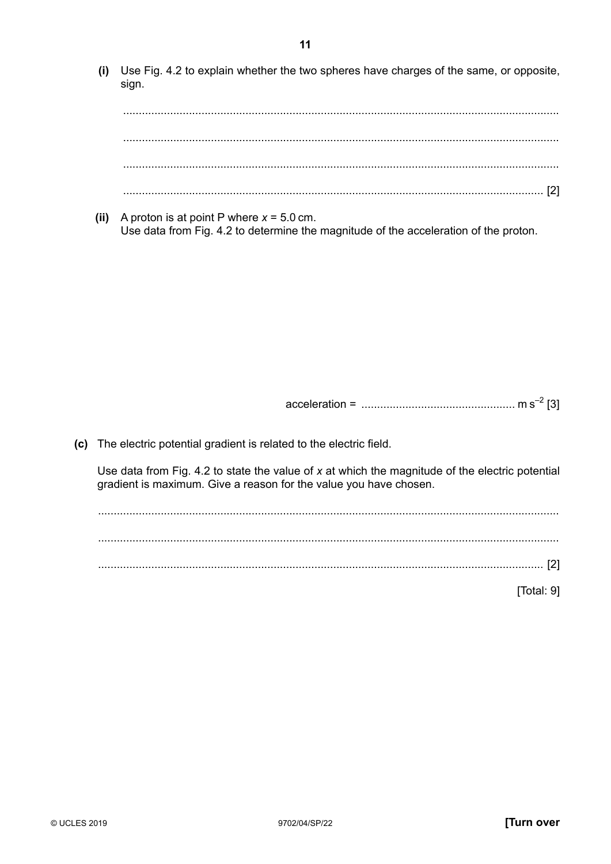(i) Use Fig. 4.2 to explain whether the two spheres have charges of the same, or opposite, sign.

(ii) A proton is at point P where  $x = 5.0$  cm. Use data from Fig. 4.2 to determine the magnitude of the acceleration of the proton.

(c) The electric potential gradient is related to the electric field.

Use data from Fig. 4.2 to state the value of  $x$  at which the magnitude of the electric potential gradient is maximum. Give a reason for the value you have chosen.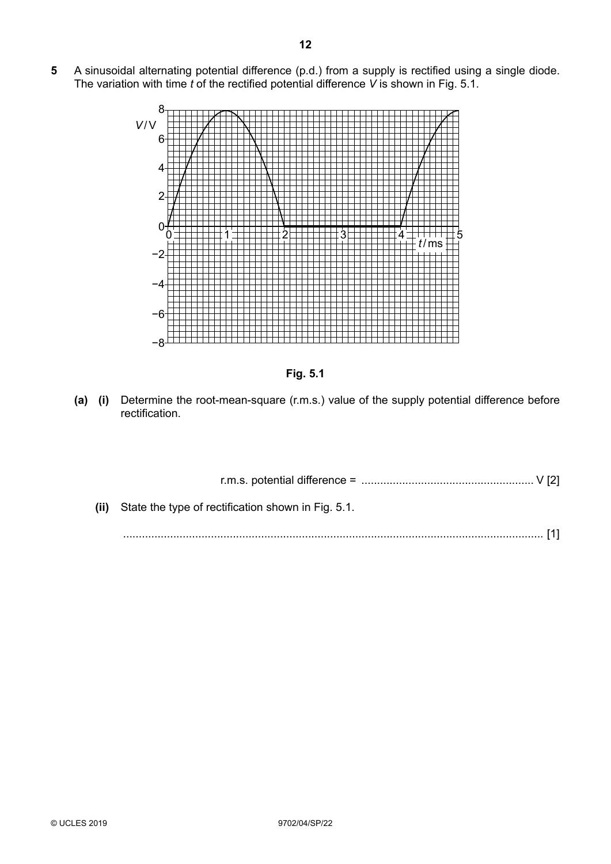**5** A sinusoidal alternating potential difference (p.d.) from a supply is rectified using a single diode. The variation with time *t* of the rectified potential difference *V* is shown in Fig. 5.1.





**(a) (i)** Determine the root-mean-square (r.m.s.) value of the supply potential difference before rectification.

| (ii) State the type of rectification shown in Fig. 5.1. |  |
|---------------------------------------------------------|--|

...................................................................................................................................... [1]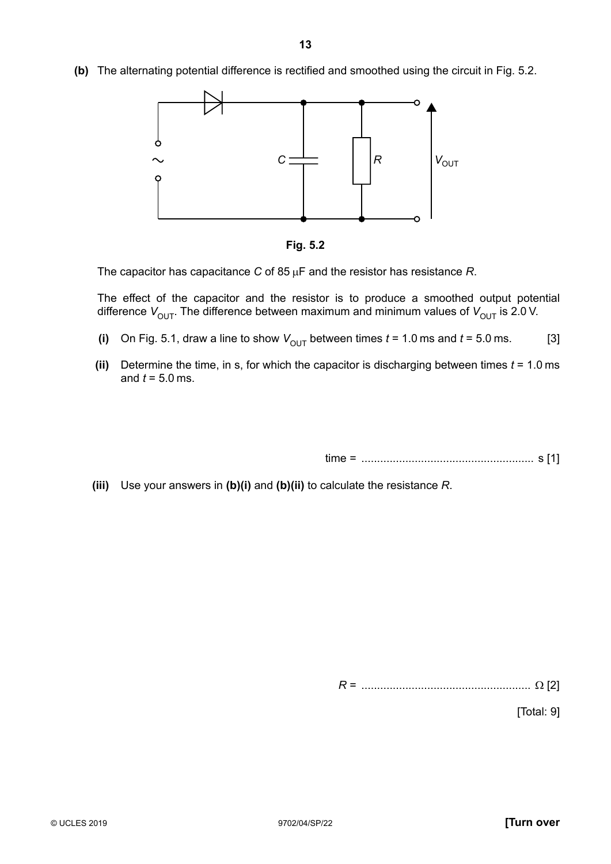**(b)** The alternating potential difference is rectified and smoothed using the circuit in Fig. 5.2.





The capacitor has capacitance *C* of 85 µF and the resistor has resistance *R*.

The effect of the capacitor and the resistor is to produce a smoothed output potential difference  $V_{\text{OUT}}$ . The difference between maximum and minimum values of  $V_{\text{OUT}}$  is 2.0 V.

- **(i)** On Fig. 5.1, draw a line to show  $V_{\text{OUT}}$  between times  $t = 1.0$  ms and  $t = 5.0$  ms. [3]
- **(ii)** Determine the time, in s, for which the capacitor is discharging between times *t* = 1.0 ms and *t* = 5.0 ms.

time = .......................................................  s [1]

 **(iii)** Use your answers in **(b)(i)** and **(b)(ii)** to calculate the resistance *R*.

*R* = ...................................................... Ω [2]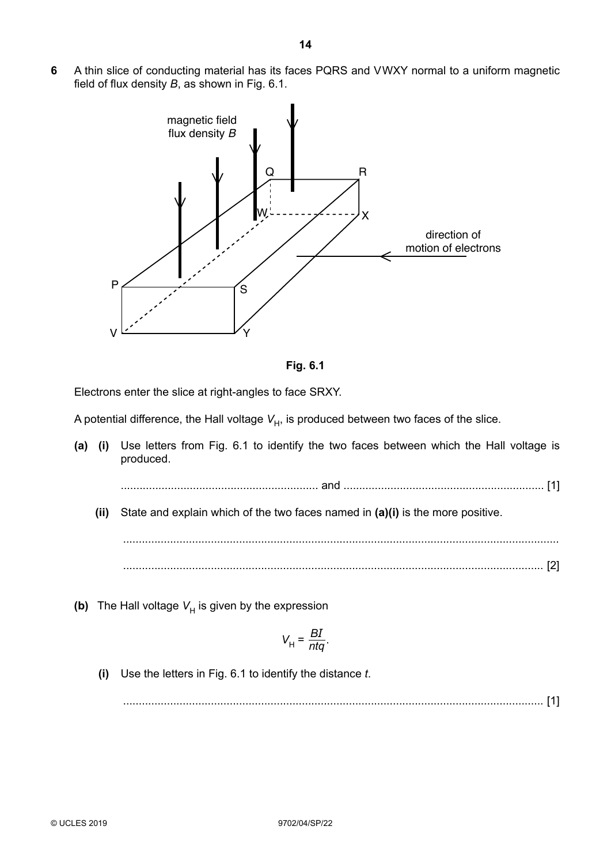**6** A thin slice of conducting material has its faces PQRS and V WXY normal to a uniform magnetic field of flux density *B*, as shown in Fig. 6.1.





Electrons enter the slice at right-angles to face SRXY.

A potential difference, the Hall voltage  $V_H$ , is produced between two faces of the slice.

**(a) (i)** Use letters from Fig. 6.1 to identify the two faces between which the Hall voltage is produced.

............................................................... and ................................................................ [1]

 **(ii)** State and explain which of the two faces named in **(a)(i)** is the more positive.

........................................................................................................................................... ...................................................................................................................................... [2]

**(b)** The Hall voltage  $V_H$  is given by the expression

$$
V_{\rm H} = \frac{BI}{ntq}.
$$

 **(i)** Use the letters in Fig. 6.1 to identify the distance *t*.

...................................................................................................................................... [1]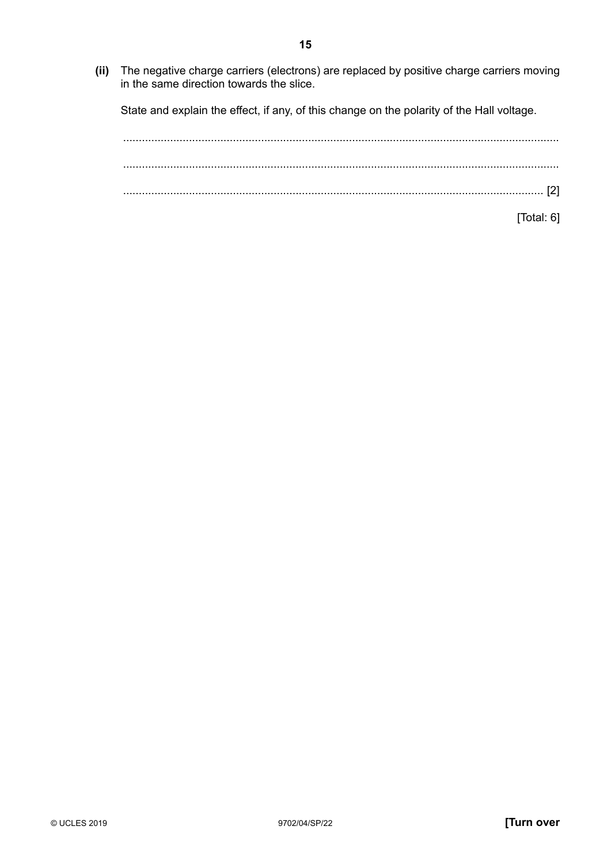State and explain the effect, if any, of this change on the polarity of the Hall voltage.

........................................................................................................................................... ........................................................................................................................................... ...................................................................................................................................... [2]

[Total: 6]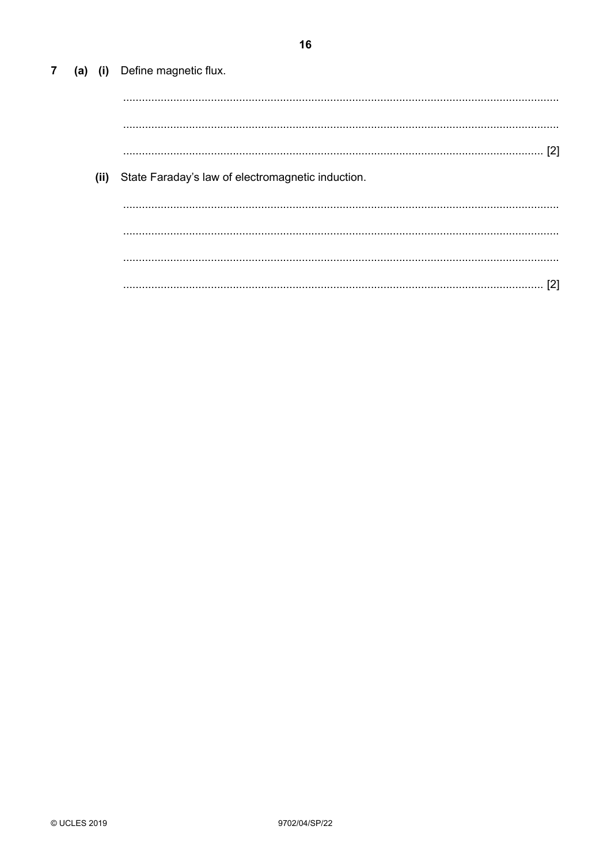(a) (i) Define magnetic flux.  $(ii)$ State Faraday's law of electromagnetic induction. 

 $\overline{7}$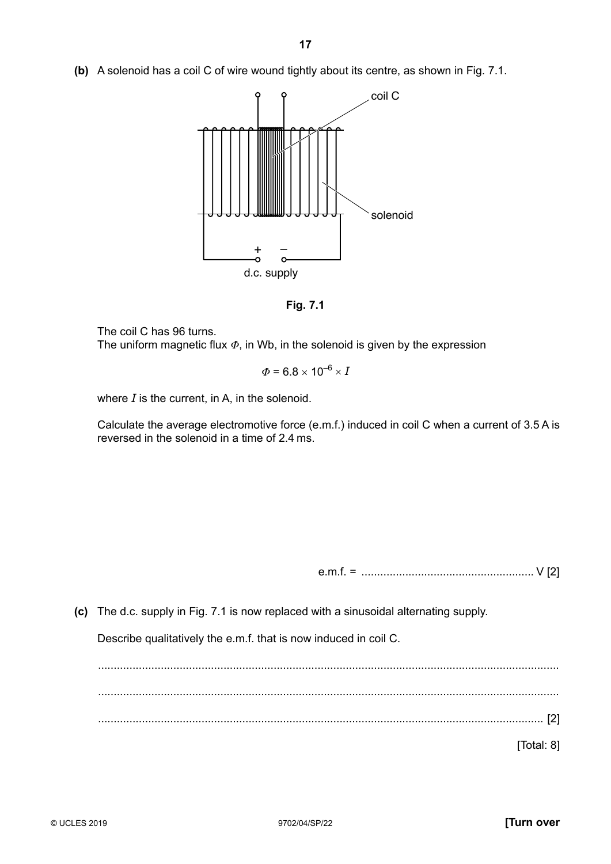**(b)** A solenoid has a coil C of wire wound tightly about its centre, as shown in Fig. 7.1.



**Fig. 7.1**

The coil C has 96 turns.

The uniform magnetic flux *Φ*, in Wb, in the solenoid is given by the expression

$$
\Phi = 6.8 \times 10^{-6} \times I
$$

where *I* is the current, in A, in the solenoid.

Calculate the average electromotive force (e.m.f.) induced in coil C when a current of 3.5 A is reversed in the solenoid in a time of 2.4 ms.

e.m.f. = ....................................................... V [2]

**(c)** The d.c. supply in Fig. 7.1 is now replaced with a sinusoidal alternating supply.

Describe qualitatively the e.m.f. that is now induced in coil C.

................................................................................................................................................... ................................................................................................................................................... .............................................................................................................................................. [2]

[Total: 8]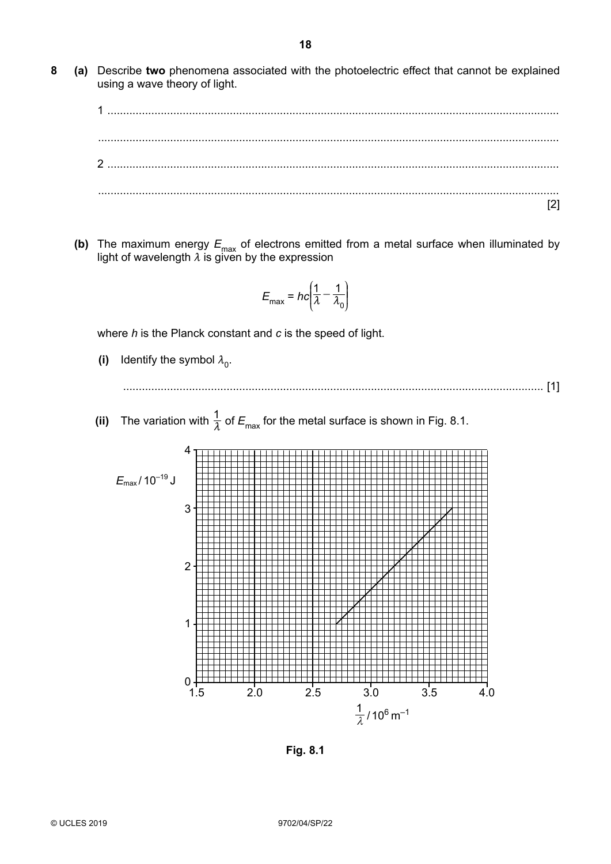**8 (a)** Describe **two** phenomena associated with the photoelectric effect that cannot be explained using a wave theory of light.

1 ................................................................................................................................................ ................................................................................................................................................... 2 ................................................................................................................................................ ................................................................................................................................................... [2]

**(b)** The maximum energy  $E_{\text{max}}$  of electrons emitted from a metal surface when illuminated by light of wavelength  $\lambda$  is given by the expression

$$
E_{\text{max}} = hc\left(\frac{1}{\lambda} - \frac{1}{\lambda_0}\right)
$$

where *h* is the Planck constant and *c* is the speed of light.

- **(i)** Identify the symbol  $\lambda_0$ .
	- ...................................................................................................................................... [1]
- **(ii)** The variation with  $\frac{1}{\lambda}$  of  $E_{\text{max}}$  for the metal surface is shown in Fig. 8.1.



**Fig. 8.1**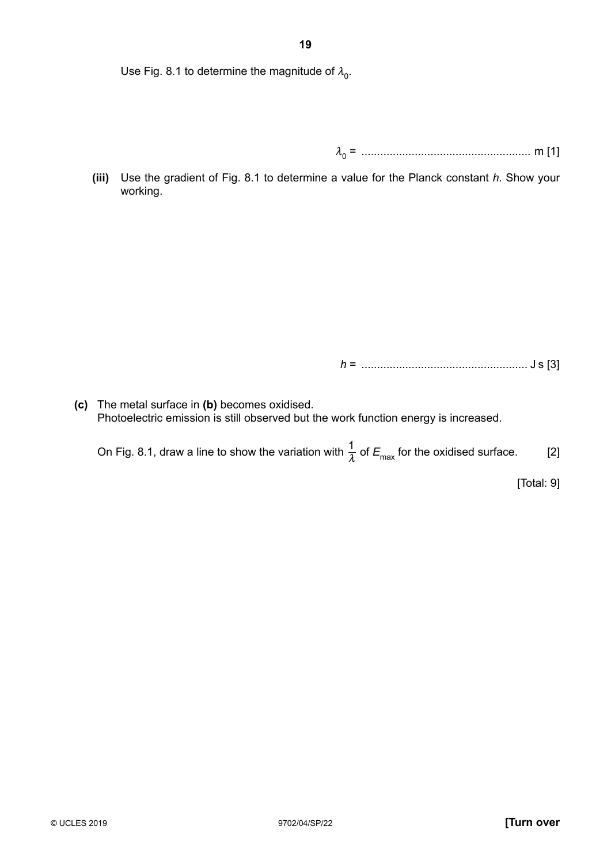Use Fig. 8.1 to determine the magnitude of  $\lambda_0$ .

*m*0 = ...................................................... m [1]

 **(iii)** Use the gradient of Fig. 8.1 to determine a value for the Planck constant *h*. Show your working.

*h* = ..................................................... J s [3]

**(c)** The metal surface in **(b)** becomes oxidised. Photoelectric emission is still observed but the work function energy is increased.

On Fig. 8.1, draw a line to show the variation with  $\frac{1}{\lambda}$  of  $E_{\text{max}}$  for the oxidised surface. [2]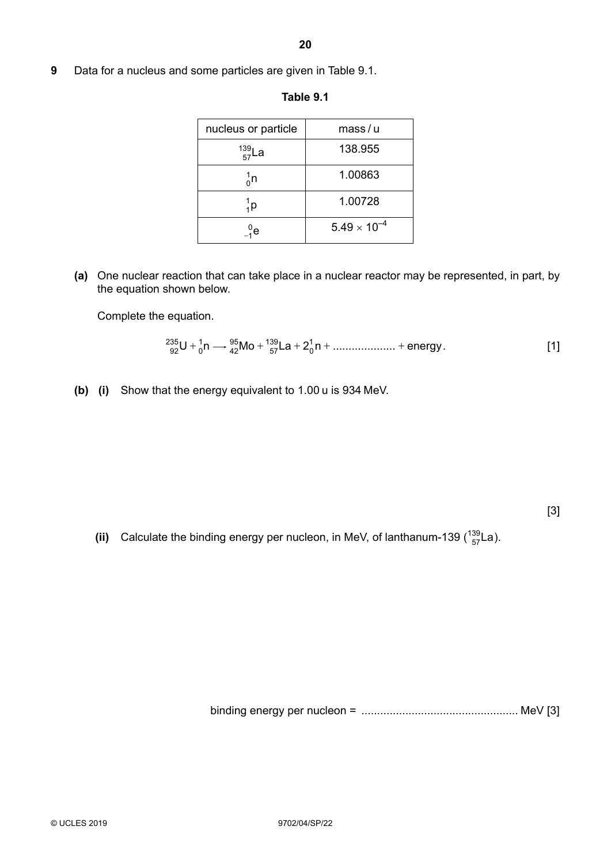**9** Data for a nucleus and some particles are given in Table 9.1.

| nucleus or particle | mass/u                |
|---------------------|-----------------------|
| $^{139}_{57}$ La    | 138.955               |
| ៱n                  | 1.00863               |
| ¦p                  | 1.00728               |
| Έ                   | $5.49 \times 10^{-4}$ |

**Table 9.1**

**(a)** One nuclear reaction that can take place in a nuclear reactor may be represented, in part, by the equation shown below.

Complete the equation.

$$
{}^{235}_{92}U + {}^{1}_{0}n \longrightarrow {}^{95}_{42}Mo + {}^{139}_{57}La + 2{}^{1}_{0}n + \dots \dots \dots \dots \dots + \text{energy.}
$$
 [1]

**(b) (i)** Show that the energy equivalent to 1.00 u is 934 MeV.

[3]

(ii) Calculate the binding energy per nucleon, in MeV, of lanthanum-139  $\binom{139}{57}$ La).

binding energy per nucleon = .................................................. MeV [3]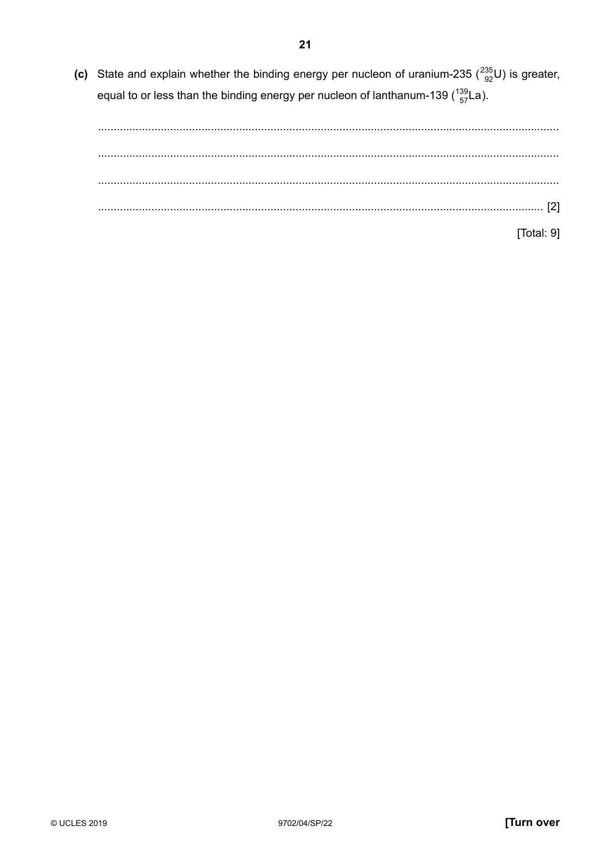(c) State and explain whether the binding energy per nucleon of uranium-235 ( $^{235}_{92}$ U) is greater, equal to or less than the binding energy per nucleon of lanthanum-139  $\binom{139}{57}$ La).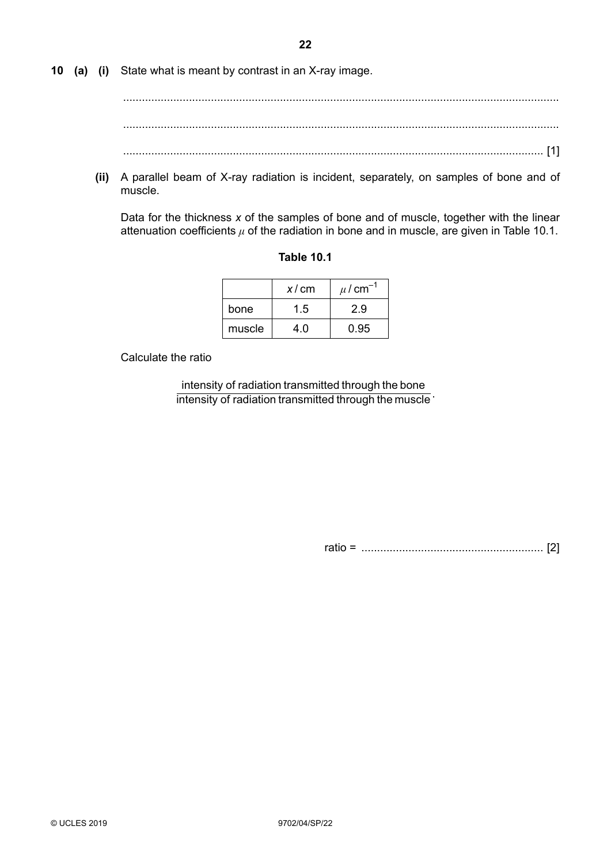**10 (a) (i)** State what is meant by contrast in an X-ray image.

........................................................................................................................................... ........................................................................................................................................... ...................................................................................................................................... [1]

 **(ii)** A parallel beam of X-ray radiation is incident, separately, on samples of bone and of muscle.

Data for the thickness *x* of the samples of bone and of muscle, together with the linear attenuation coefficients  $\mu$  of the radiation in bone and in muscle, are given in Table 10.1.

|        | x/cm | $\mu$ / cm <sup>-1</sup> |
|--------|------|--------------------------|
| bone   | 1.5  | 2.9                      |
| muscle | 4.0  | 0.95                     |

## **Table 10.1**

Calculate the ratio

intensity of radiation transmitted through the muscle : intensity of radiation transmitted through the bone .

ratio = .......................................................... [2]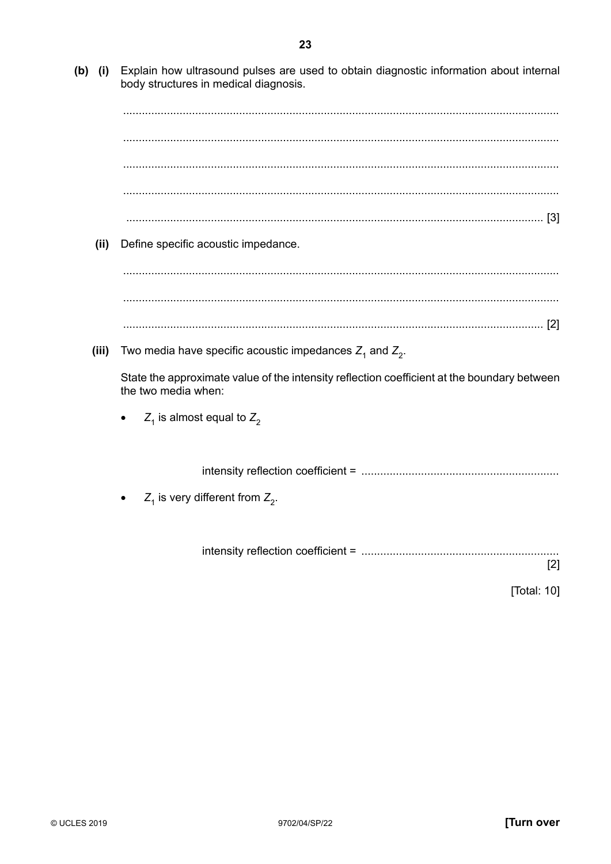(b) (i) Explain how ultrasound pulses are used to obtain diagnostic information about internal body structures in medical diagnosis.

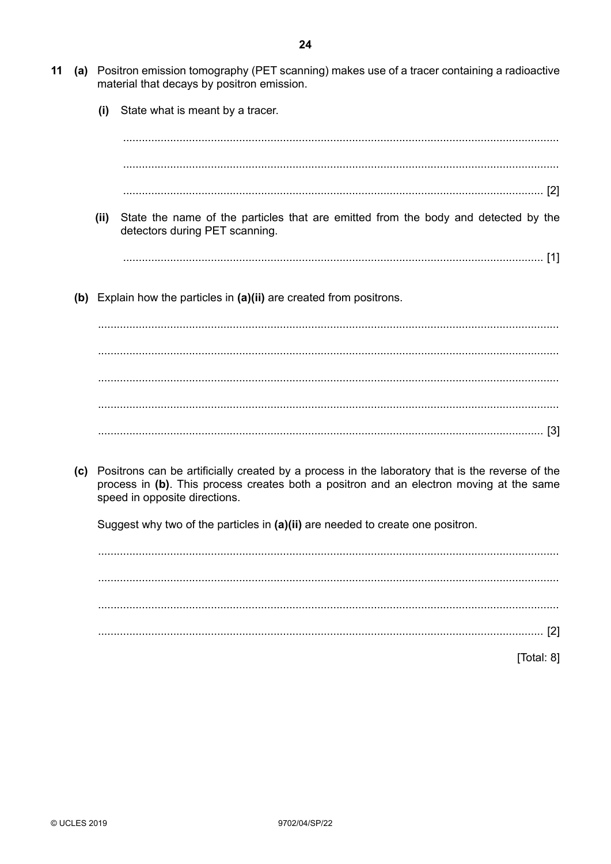- State what is meant by a tracer.  $(i)$  $(ii)$ State the name of the particles that are emitted from the body and detected by the detectors during PET scanning. (b) Explain how the particles in (a)(ii) are created from positrons. (c) Positrons can be artificially created by a process in the laboratory that is the reverse of the
	- process in (b). This process creates both a positron and an electron moving at the same speed in opposite directions.

Suggest why two of the particles in (a)(ii) are needed to create one positron.

[Total: 8]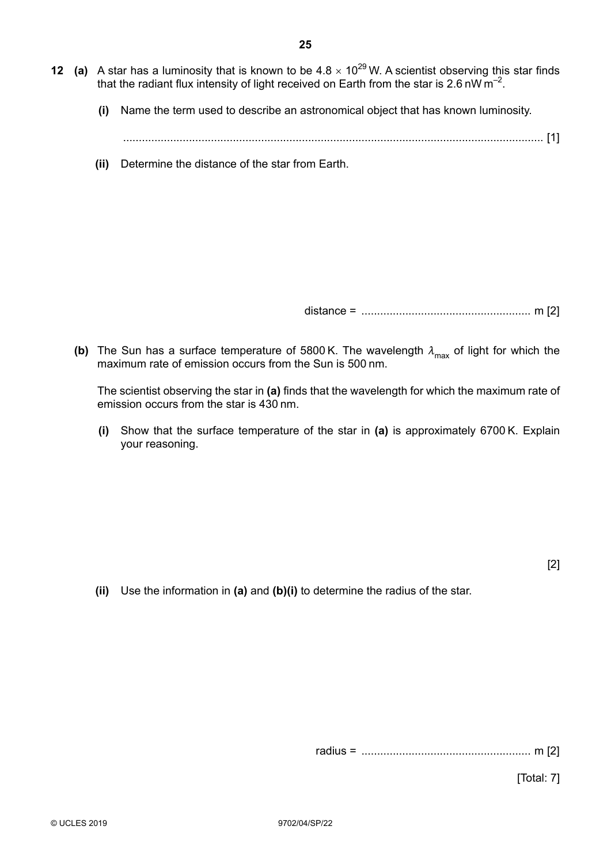- **12** (a) A star has a luminosity that is known to be  $4.8 \times 10^{29}$  W. A scientist observing this star finds that the radiant flux intensity of light received on Earth from the star is 2.6 nW  $m^{-2}$ .
	- **(i)** Name the term used to describe an astronomical object that has known luminosity.

...................................................................................................................................... [1]

 **(ii)** Determine the distance of the star from Earth.

distance = ...................................................... m [2]

**(b)** The Sun has a surface temperature of 5800 K. The wavelength  $\lambda_{\text{max}}$  of light for which the maximum rate of emission occurs from the Sun is 500 nm.

The scientist observing the star in **(a)** finds that the wavelength for which the maximum rate of emission occurs from the star is 430 nm.

 **(i)** Show that the surface temperature of the star in **(a)** is approximately 6700 K. Explain your reasoning.

[2]

 **(ii)** Use the information in **(a)** and **(b)(i)** to determine the radius of the star.

radius = ...................................................... m [2]

[Total: 7]